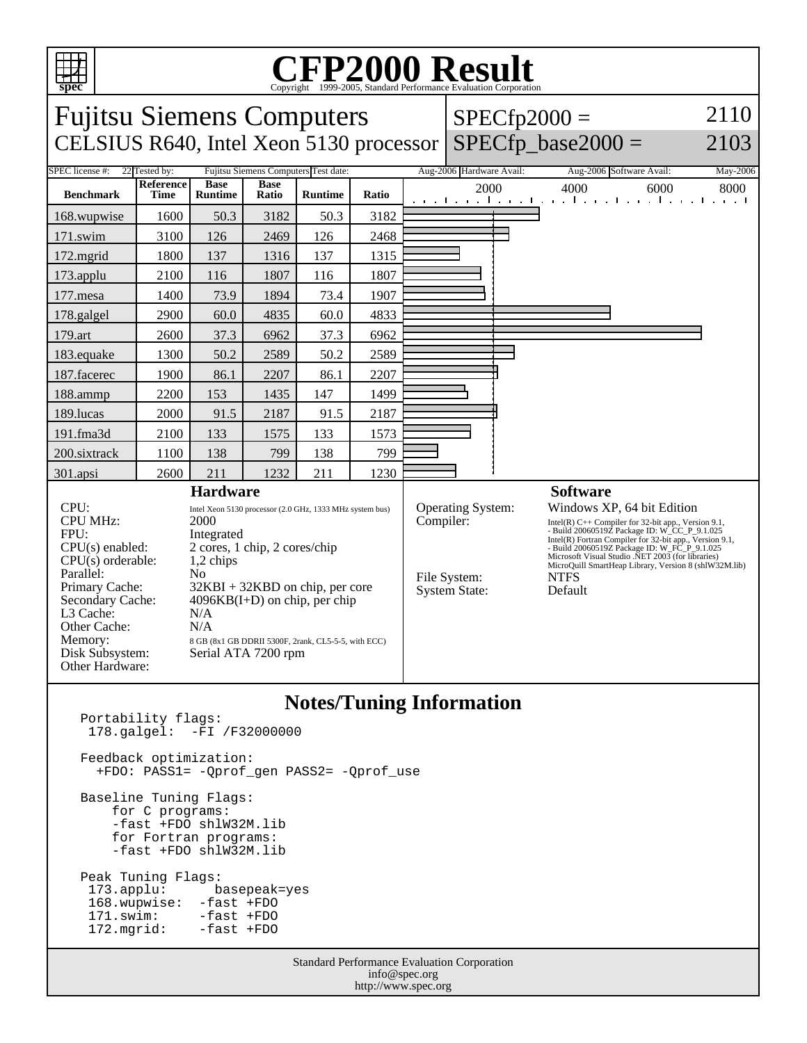

## C<sub>opyright</sub> ©1999-2005, Standard Performance Evaluation Corporation

| 2110<br><b>Fujitsu Siemens Computers</b><br>$SPECfp2000 =$<br>$SPECfp\_base2000 =$<br>CELSIUS R640, Intel Xeon 5130 processor<br>2103                                                                                                                                                                                                                                                                                                                                                                                              |                          |                               |                      |                |           |                                                           |                                                                                                                                                                                                                                                                                                                                                                                                           |                                                                   |          |
|------------------------------------------------------------------------------------------------------------------------------------------------------------------------------------------------------------------------------------------------------------------------------------------------------------------------------------------------------------------------------------------------------------------------------------------------------------------------------------------------------------------------------------|--------------------------|-------------------------------|----------------------|----------------|-----------|-----------------------------------------------------------|-----------------------------------------------------------------------------------------------------------------------------------------------------------------------------------------------------------------------------------------------------------------------------------------------------------------------------------------------------------------------------------------------------------|-------------------------------------------------------------------|----------|
| Fujitsu Siemens Computers Test date:<br>SPEC license #:<br>22 Tested by:                                                                                                                                                                                                                                                                                                                                                                                                                                                           |                          |                               |                      |                |           |                                                           | Aug-2006 Hardware Avail:                                                                                                                                                                                                                                                                                                                                                                                  | Aug-2006 Software Avail:                                          | May-2006 |
| <b>Benchmark</b>                                                                                                                                                                                                                                                                                                                                                                                                                                                                                                                   | Reference<br><b>Time</b> | <b>Base</b><br><b>Runtime</b> | <b>Base</b><br>Ratio | <b>Runtime</b> | Ratio     |                                                           | 2000                                                                                                                                                                                                                                                                                                                                                                                                      | 4000<br>6000<br>المتوجبا وتوجا وتوجا وتوجا وتوجا وتوجا وتوجا وتوج | 8000     |
| 168.wupwise                                                                                                                                                                                                                                                                                                                                                                                                                                                                                                                        | 1600                     | 50.3                          | 3182                 | 50.3           | 3182      |                                                           |                                                                                                                                                                                                                                                                                                                                                                                                           |                                                                   |          |
| 171.swim                                                                                                                                                                                                                                                                                                                                                                                                                                                                                                                           | 3100                     | 126                           | 2469                 | 126            | 2468      |                                                           |                                                                                                                                                                                                                                                                                                                                                                                                           |                                                                   |          |
| 172.mgrid                                                                                                                                                                                                                                                                                                                                                                                                                                                                                                                          | 1800                     | 137                           | 1316                 | 137            | 1315      |                                                           |                                                                                                                                                                                                                                                                                                                                                                                                           |                                                                   |          |
| 173.applu                                                                                                                                                                                                                                                                                                                                                                                                                                                                                                                          | 2100                     | 116                           | 1807                 | 116            | 1807      |                                                           |                                                                                                                                                                                                                                                                                                                                                                                                           |                                                                   |          |
| 177.mesa                                                                                                                                                                                                                                                                                                                                                                                                                                                                                                                           | 1400                     | 73.9                          | 1894                 | 73.4           | 1907      |                                                           |                                                                                                                                                                                                                                                                                                                                                                                                           |                                                                   |          |
| 178.galgel                                                                                                                                                                                                                                                                                                                                                                                                                                                                                                                         | 2900                     | 60.0                          | 4835                 | 60.0           | 4833      |                                                           |                                                                                                                                                                                                                                                                                                                                                                                                           |                                                                   |          |
| 179.art                                                                                                                                                                                                                                                                                                                                                                                                                                                                                                                            | 2600                     | 37.3                          | 6962                 | 37.3           | 6962      |                                                           |                                                                                                                                                                                                                                                                                                                                                                                                           |                                                                   |          |
| 183.equake                                                                                                                                                                                                                                                                                                                                                                                                                                                                                                                         | 1300                     | 50.2                          | 2589                 | 50.2           | 2589      |                                                           |                                                                                                                                                                                                                                                                                                                                                                                                           |                                                                   |          |
| 187.facerec                                                                                                                                                                                                                                                                                                                                                                                                                                                                                                                        | 1900                     | 86.1                          | 2207                 | 86.1           | 2207      |                                                           |                                                                                                                                                                                                                                                                                                                                                                                                           |                                                                   |          |
| 188.ammp                                                                                                                                                                                                                                                                                                                                                                                                                                                                                                                           | 2200                     | 153                           | 1435                 | 147            | 1499      |                                                           |                                                                                                                                                                                                                                                                                                                                                                                                           |                                                                   |          |
| 189.lucas                                                                                                                                                                                                                                                                                                                                                                                                                                                                                                                          | 2000                     | 91.5                          | 2187                 | 91.5           | 2187      |                                                           |                                                                                                                                                                                                                                                                                                                                                                                                           |                                                                   |          |
| 191.fma3d                                                                                                                                                                                                                                                                                                                                                                                                                                                                                                                          | 2100                     | 133                           | 1575                 | 133            | 1573      |                                                           |                                                                                                                                                                                                                                                                                                                                                                                                           |                                                                   |          |
| 200.sixtrack                                                                                                                                                                                                                                                                                                                                                                                                                                                                                                                       | 1100                     | 138                           | 799                  | 138            | 799       |                                                           |                                                                                                                                                                                                                                                                                                                                                                                                           |                                                                   |          |
| 301.apsi                                                                                                                                                                                                                                                                                                                                                                                                                                                                                                                           | 2600                     | 211                           | 1232                 | 211            | 1230      |                                                           |                                                                                                                                                                                                                                                                                                                                                                                                           |                                                                   |          |
| <b>Hardware</b><br>CPU:<br>Intel Xeon 5130 processor (2.0 GHz, 1333 MHz system bus)<br>CPU MHz:<br>2000<br>FPU:<br>Integrated<br>$CPU(s)$ enabled:<br>2 cores, 1 chip, 2 cores/chip<br>$CPU(s)$ orderable:<br>1,2 chips<br>Parallel:<br>No<br>Primary Cache:<br>$32KBI + 32KBD$ on chip, per core<br>Secondary Cache:<br>$4096KB(I+D)$ on chip, per chip<br>L3 Cache:<br>N/A<br>Other Cache:<br>N/A<br>Memory:<br>8 GB (8x1 GB DDRII 5300F, 2rank, CL5-5-5, with ECC)<br>Disk Subsystem:<br>Serial ATA 7200 rpm<br>Other Hardware: |                          |                               |                      |                | Compiler: | Operating System:<br>File System:<br><b>System State:</b> | <b>Software</b><br>Windows XP, 64 bit Edition<br>Intel(R) $C++$ Compiler for 32-bit app., Version 9.1,<br>- Build 20060519Z Package ID: W_CC_P_9.1.025<br>Intel(R) Fortran Compiler for 32-bit app., Version 9.1,<br>- Build 20060519Z Package ID: W FC P 9.1.025<br>Microsoft Visual Studio .NET 2003 (for libraries)<br>MicroQuill SmartHeap Library, Version 8 (shlW32M.lib)<br><b>NTFS</b><br>Default |                                                                   |          |

## **Notes/Tuning Information**

| Portability flags:<br>178.galgel: -FI /F32000000                                                                       |  |  |  |  |  |  |  |
|------------------------------------------------------------------------------------------------------------------------|--|--|--|--|--|--|--|
| Feedback optimization:<br>+FDO: PASS1= - Oprof gen PASS2= - Oprof use                                                  |  |  |  |  |  |  |  |
| Baseline Tuning Flags:<br>for C programs:<br>-fast +FDO shlW32M.lib<br>for Fortran programs:<br>-fast +FDO shlW32M.lib |  |  |  |  |  |  |  |
| Peak Tuning Flags:                                                                                                     |  |  |  |  |  |  |  |
| 173.applu: basepeak=yes                                                                                                |  |  |  |  |  |  |  |
| 168.wupwise: -fast +FDO                                                                                                |  |  |  |  |  |  |  |
| 171.swim: -fast +FDO                                                                                                   |  |  |  |  |  |  |  |
| 172. mgrid: - fast +FDO                                                                                                |  |  |  |  |  |  |  |
| <b>Standard Performance Evaluation Corporation</b><br>info@spec.org                                                    |  |  |  |  |  |  |  |

http://www.spec.org